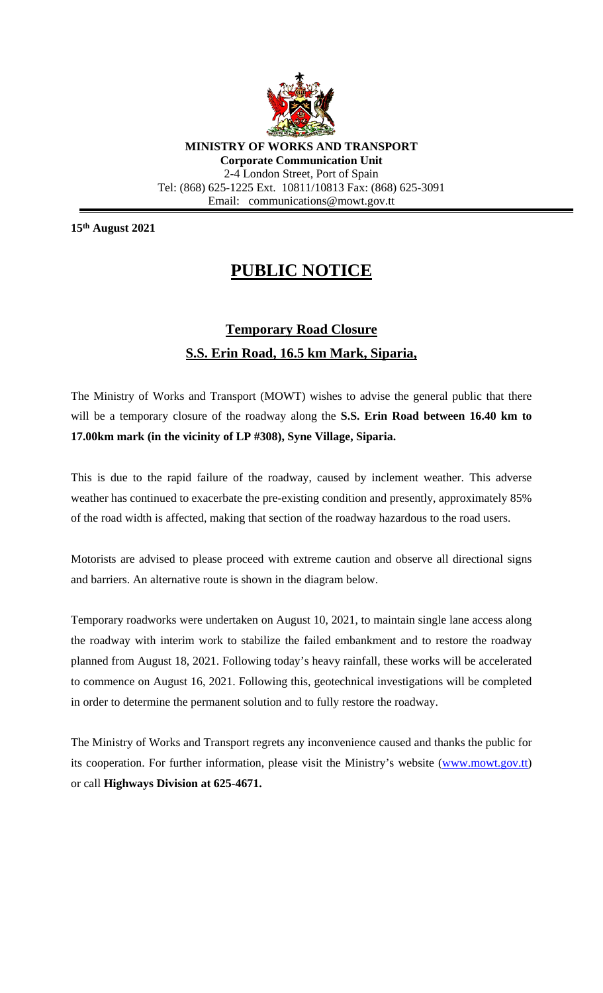

**MINISTRY OF WORKS AND TRANSPORT Corporate Communication Unit** 2-4 London Street, Port of Spain Tel: (868) 625-1225 Ext. 10811/10813 Fax: (868) 625-3091 Email: communications@mowt.gov.tt

**15th August 2021**

## **PUBLIC NOTICE**

## **Temporary Road Closure S.S. Erin Road, 16.5 km Mark, Siparia,**

The Ministry of Works and Transport (MOWT) wishes to advise the general public that there will be a temporary closure of the roadway along the **S.S. Erin Road between 16.40 km to 17.00km mark (in the vicinity of LP #308), Syne Village, Siparia.**

This is due to the rapid failure of the roadway, caused by inclement weather. This adverse weather has continued to exacerbate the pre-existing condition and presently, approximately 85% of the road width is affected, making that section of the roadway hazardous to the road users.

Motorists are advised to please proceed with extreme caution and observe all directional signs and barriers. An alternative route is shown in the diagram below.

Temporary roadworks were undertaken on August 10, 2021, to maintain single lane access along the roadway with interim work to stabilize the failed embankment and to restore the roadway planned from August 18, 2021. Following today's heavy rainfall, these works will be accelerated to commence on August 16, 2021. Following this, geotechnical investigations will be completed in order to determine the permanent solution and to fully restore the roadway.

The Ministry of Works and Transport regrets any inconvenience caused and thanks the public for its cooperation. For further information, please visit the Ministry's website [\(www.mowt.gov.tt\)](http://www.mowt.gov.tt/) or call **Highways Division at 625-4671.**